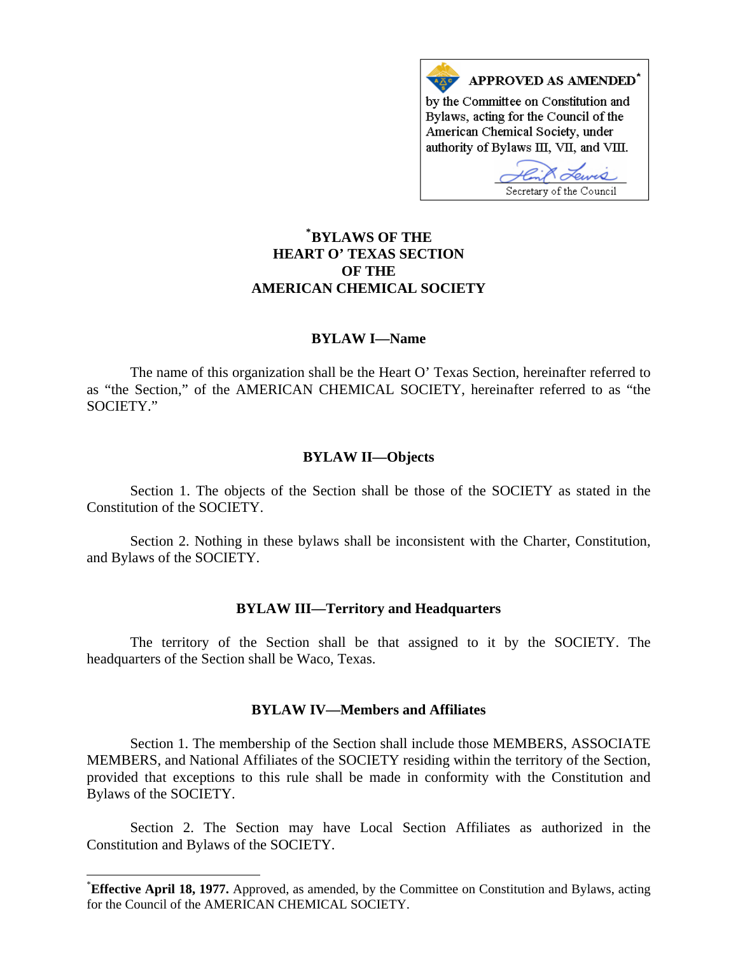

# **\* [BYLAWS OF THE](#page-0-0)  HEART O' TEXAS SECTION OF THE AMERICAN CHEMICAL SOCIETY**

# **BYLAW I—Name**

The name of this organization shall be the Heart O' Texas Section, hereinafter referred to as "the Section," of the AMERICAN CHEMICAL SOCIETY, hereinafter referred to as "the SOCIETY."

### **BYLAW II—Objects**

Section 1. The objects of the Section shall be those of the SOCIETY as stated in the Constitution of the SOCIETY.

Section 2. Nothing in these bylaws shall be inconsistent with the Charter, Constitution, and Bylaws of the SOCIETY.

### **BYLAW III—Territory and Headquarters**

The territory of the Section shall be that assigned to it by the SOCIETY. The headquarters of the Section shall be Waco, Texas.

# **BYLAW IV—Members and Affiliates**

Section 1. The membership of the Section shall include those MEMBERS, ASSOCIATE MEMBERS, and National Affiliates of the SOCIETY residing within the territory of the Section, provided that exceptions to this rule shall be made in conformity with the Constitution and Bylaws of the SOCIETY.

Section 2. The Section may have Local Section Affiliates as authorized in the Constitution and Bylaws of the SOCIETY.

 $\overline{a}$ 

<span id="page-0-0"></span><sup>\*</sup> **Effective April 18, 1977.** Approved, as amended, by the Committee on Constitution and Bylaws, acting for the Council of the AMERICAN CHEMICAL SOCIETY.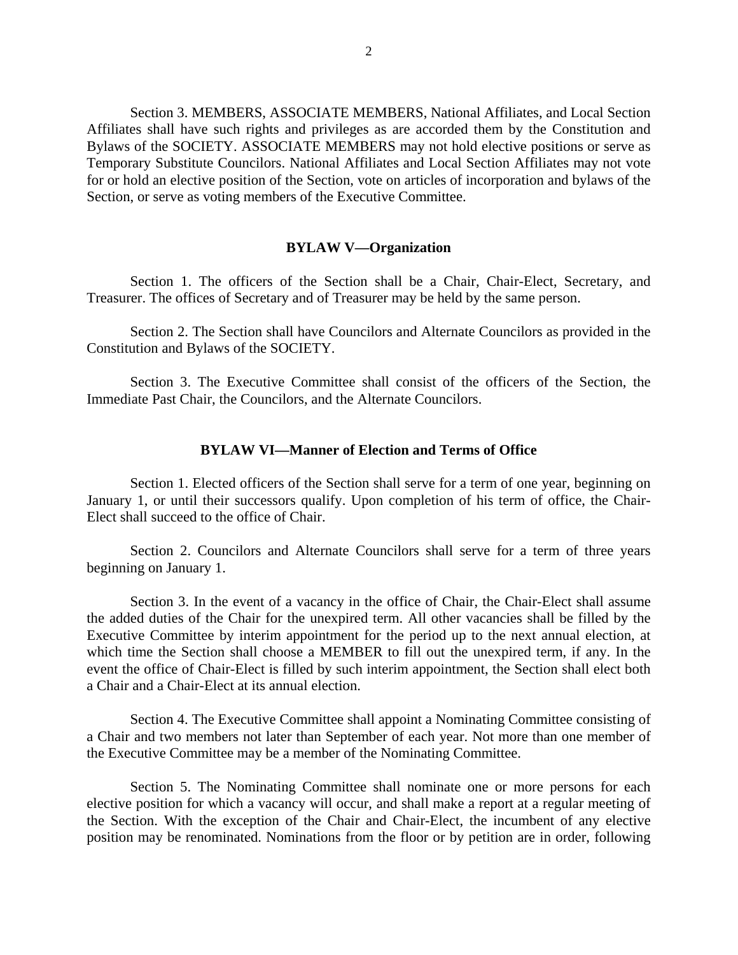Section 3. MEMBERS, ASSOCIATE MEMBERS, National Affiliates, and Local Section Affiliates shall have such rights and privileges as are accorded them by the Constitution and Bylaws of the SOCIETY. ASSOCIATE MEMBERS may not hold elective positions or serve as Temporary Substitute Councilors. National Affiliates and Local Section Affiliates may not vote for or hold an elective position of the Section, vote on articles of incorporation and bylaws of the Section, or serve as voting members of the Executive Committee.

### **BYLAW V—Organization**

Section 1. The officers of the Section shall be a Chair, Chair-Elect, Secretary, and Treasurer. The offices of Secretary and of Treasurer may be held by the same person.

Section 2. The Section shall have Councilors and Alternate Councilors as provided in the Constitution and Bylaws of the SOCIETY.

Section 3. The Executive Committee shall consist of the officers of the Section, the Immediate Past Chair, the Councilors, and the Alternate Councilors.

## **BYLAW VI—Manner of Election and Terms of Office**

Section 1. Elected officers of the Section shall serve for a term of one year, beginning on January 1, or until their successors qualify. Upon completion of his term of office, the Chair-Elect shall succeed to the office of Chair.

Section 2. Councilors and Alternate Councilors shall serve for a term of three years beginning on January 1.

Section 3. In the event of a vacancy in the office of Chair, the Chair-Elect shall assume the added duties of the Chair for the unexpired term. All other vacancies shall be filled by the Executive Committee by interim appointment for the period up to the next annual election, at which time the Section shall choose a MEMBER to fill out the unexpired term, if any. In the event the office of Chair-Elect is filled by such interim appointment, the Section shall elect both a Chair and a Chair-Elect at its annual election.

Section 4. The Executive Committee shall appoint a Nominating Committee consisting of a Chair and two members not later than September of each year. Not more than one member of the Executive Committee may be a member of the Nominating Committee.

Section 5. The Nominating Committee shall nominate one or more persons for each elective position for which a vacancy will occur, and shall make a report at a regular meeting of the Section. With the exception of the Chair and Chair-Elect, the incumbent of any elective position may be renominated. Nominations from the floor or by petition are in order, following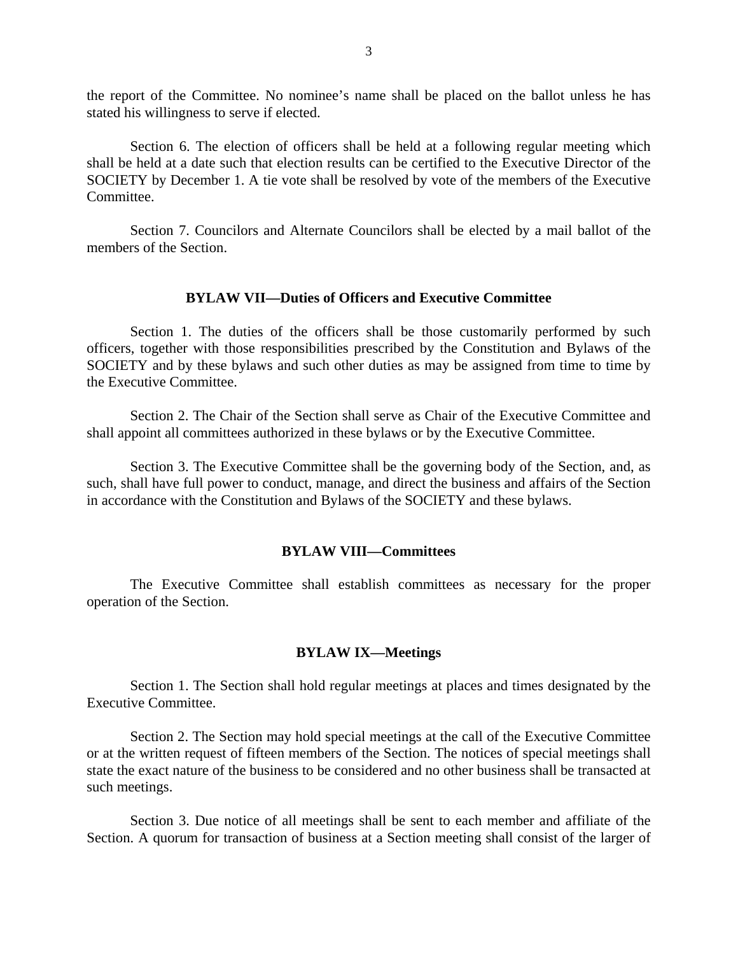the report of the Committee. No nominee's name shall be placed on the ballot unless he has stated his willingness to serve if elected.

Section 6. The election of officers shall be held at a following regular meeting which shall be held at a date such that election results can be certified to the Executive Director of the SOCIETY by December 1. A tie vote shall be resolved by vote of the members of the Executive Committee.

Section 7. Councilors and Alternate Councilors shall be elected by a mail ballot of the members of the Section.

### **BYLAW VII—Duties of Officers and Executive Committee**

Section 1. The duties of the officers shall be those customarily performed by such officers, together with those responsibilities prescribed by the Constitution and Bylaws of the SOCIETY and by these bylaws and such other duties as may be assigned from time to time by the Executive Committee.

Section 2. The Chair of the Section shall serve as Chair of the Executive Committee and shall appoint all committees authorized in these bylaws or by the Executive Committee.

Section 3. The Executive Committee shall be the governing body of the Section, and, as such, shall have full power to conduct, manage, and direct the business and affairs of the Section in accordance with the Constitution and Bylaws of the SOCIETY and these bylaws.

#### **BYLAW VIII—Committees**

The Executive Committee shall establish committees as necessary for the proper operation of the Section.

#### **BYLAW IX—Meetings**

Section 1. The Section shall hold regular meetings at places and times designated by the Executive Committee.

Section 2. The Section may hold special meetings at the call of the Executive Committee or at the written request of fifteen members of the Section. The notices of special meetings shall state the exact nature of the business to be considered and no other business shall be transacted at such meetings.

Section 3. Due notice of all meetings shall be sent to each member and affiliate of the Section. A quorum for transaction of business at a Section meeting shall consist of the larger of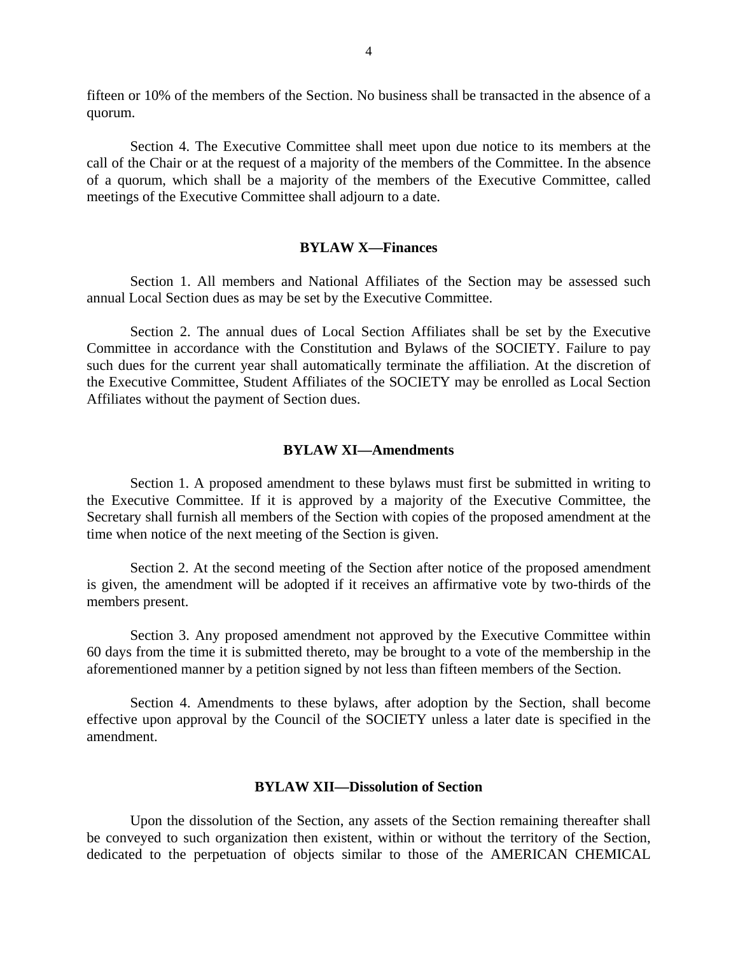fifteen or 10% of the members of the Section. No business shall be transacted in the absence of a quorum.

Section 4. The Executive Committee shall meet upon due notice to its members at the call of the Chair or at the request of a majority of the members of the Committee. In the absence of a quorum, which shall be a majority of the members of the Executive Committee, called meetings of the Executive Committee shall adjourn to a date.

# **BYLAW X—Finances**

Section 1. All members and National Affiliates of the Section may be assessed such annual Local Section dues as may be set by the Executive Committee.

Section 2. The annual dues of Local Section Affiliates shall be set by the Executive Committee in accordance with the Constitution and Bylaws of the SOCIETY. Failure to pay such dues for the current year shall automatically terminate the affiliation. At the discretion of the Executive Committee, Student Affiliates of the SOCIETY may be enrolled as Local Section Affiliates without the payment of Section dues.

#### **BYLAW XI—Amendments**

Section 1. A proposed amendment to these bylaws must first be submitted in writing to the Executive Committee. If it is approved by a majority of the Executive Committee, the Secretary shall furnish all members of the Section with copies of the proposed amendment at the time when notice of the next meeting of the Section is given.

Section 2. At the second meeting of the Section after notice of the proposed amendment is given, the amendment will be adopted if it receives an affirmative vote by two-thirds of the members present.

Section 3. Any proposed amendment not approved by the Executive Committee within 60 days from the time it is submitted thereto, may be brought to a vote of the membership in the aforementioned manner by a petition signed by not less than fifteen members of the Section.

Section 4. Amendments to these bylaws, after adoption by the Section, shall become effective upon approval by the Council of the SOCIETY unless a later date is specified in the amendment.

#### **BYLAW XII—Dissolution of Section**

Upon the dissolution of the Section, any assets of the Section remaining thereafter shall be conveyed to such organization then existent, within or without the territory of the Section, dedicated to the perpetuation of objects similar to those of the AMERICAN CHEMICAL